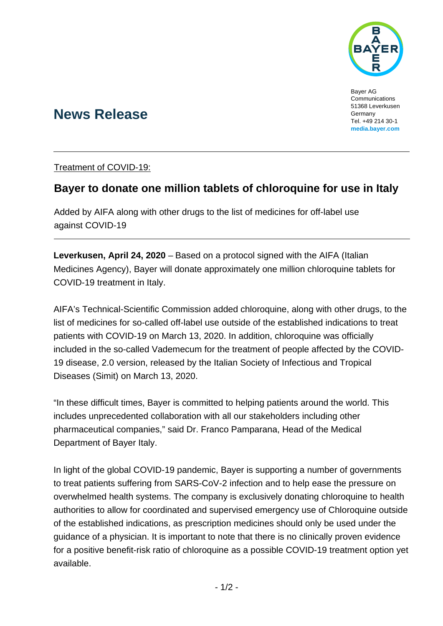

Bayer AG Communications 51368 Leverkusen Germany Tel. +49 214 30-1 **[media.bayer.com](http://media.bayer.de/)**

# **News Release**

Treatment of COVID-19:

## **Bayer to donate one million tablets of chloroquine for use in Italy**

Added by AIFA along with other drugs to the list of medicines for off-label use against COVID-19

**Leverkusen, April 24, 2020** – Based on a protocol signed with the AIFA (Italian Medicines Agency), Bayer will donate approximately one million chloroquine tablets for COVID-19 treatment in Italy.

AIFA's Technical-Scientific Commission added chloroquine, along with other drugs, to the list of medicines for so-called off-label use outside of the established indications to treat patients with COVID-19 on March 13, 2020. In addition, chloroquine was officially included in the so-called Vademecum for the treatment of people affected by the COVID-19 disease, 2.0 version, released by the Italian Society of Infectious and Tropical Diseases (Simit) on March 13, 2020.

"In these difficult times, Bayer is committed to helping patients around the world. This includes unprecedented collaboration with all our stakeholders including other pharmaceutical companies," said Dr. Franco Pamparana, Head of the Medical Department of Bayer Italy.

In light of the global COVID-19 pandemic, Bayer is supporting a number of governments to treat patients suffering from SARS-CoV-2 infection and to help ease the pressure on overwhelmed health systems. The company is exclusively donating chloroquine to health authorities to allow for coordinated and supervised emergency use of Chloroquine outside of the established indications, as prescription medicines should only be used under the guidance of a physician. It is important to note that there is no clinically proven evidence for a positive benefit-risk ratio of chloroquine as a possible COVID-19 treatment option yet available.